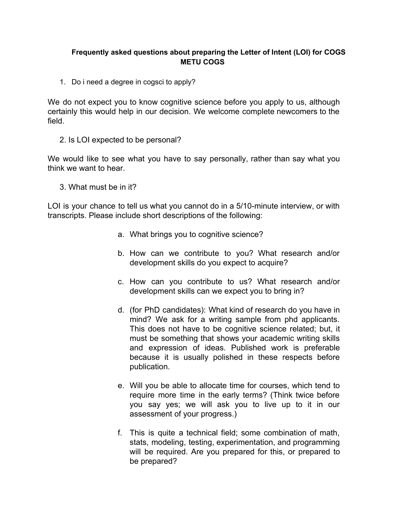## **Frequently asked questions about preparing the Letter of Intent (LOI) for COGS METU COGS**

1. Do i need a degree in cogsci to apply?

We do not expect you to know cognitive science before you apply to us, although certainly this would help in our decision. We welcome complete newcomers to the field.

2. Is LOI expected to be personal?

We would like to see what you have to say personally, rather than say what you think we want to hear.

3. What must be in it?

LOI is your chance to tell us what you cannot do in a 5/10-minute interview, or with transcripts. Please include short descriptions of the following:

- a. What brings you to cognitive science?
- b. How can we contribute to you? What research and/or development skills do you expect to acquire?
- c. How can you contribute to us? What research and/or development skills can we expect you to bring in?
- d. (for PhD candidates): What kind of research do you have in mind? We ask for a writing sample from phd applicants. This does not have to be cognitive science related; but, it must be something that shows your academic writing skills and expression of ideas. Published work is preferable because it is usually polished in these respects before publication.
- e. Will you be able to allocate time for courses, which tend to require more time in the early terms? (Think twice before you say yes; we will ask you to live up to it in our assessment of your progress.)
- f. This is quite a technical field; some combination of math, stats, modeling, testing, experimentation, and programming will be required. Are you prepared for this, or prepared to be prepared?